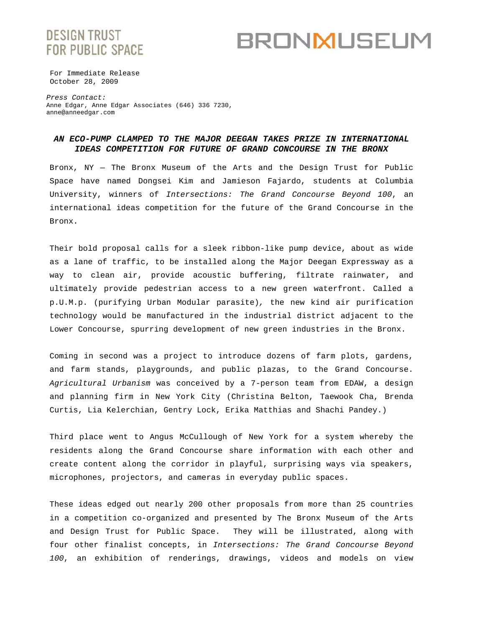# **DESIGN TRUST FOR PUBLIC SPACE**

# **BRONMUSEUM**

For Immediate Release October 28, 2009

*Press Contact:* Anne Edgar, Anne Edgar Associates (646) 336 7230, anne@anneedgar.com

## *AN ECO-PUMP CLAMPED TO THE MAJOR DEEGAN TAKES PRIZE IN INTERNATIONAL IDEAS COMPETITION FOR FUTURE OF GRAND CONCOURSE IN THE BRONX*

Bronx, NY — The Bronx Museum of the Arts and the Design Trust for Public Space have named Dongsei Kim and Jamieson Fajardo, students at Columbia University, winners of *Intersections: The Grand Concourse Beyond 100*, an international ideas competition for the future of the Grand Concourse in the Bronx.

Their bold proposal calls for a sleek ribbon-like pump device, about as wide as a lane of traffic, to be installed along the Major Deegan Expressway as a way to clean air, provide acoustic buffering, filtrate rainwater, and ultimately provide pedestrian access to a new green waterfront. Called a p.U.M.p. (purifying Urban Modular parasite)*,* the new kind air purification technology would be manufactured in the industrial district adjacent to the Lower Concourse, spurring development of new green industries in the Bronx.

Coming in second was a project to introduce dozens of farm plots, gardens, and farm stands, playgrounds, and public plazas, to the Grand Concourse. *Agricultural Urbanism* was conceived by a 7-person team from EDAW, a design and planning firm in New York City (Christina Belton, Taewook Cha, Brenda Curtis, Lia Kelerchian, Gentry Lock, Erika Matthias and Shachi Pandey.)

Third place went to Angus McCullough of New York for a system whereby the residents along the Grand Concourse share information with each other and create content along the corridor in playful, surprising ways via speakers, microphones, projectors, and cameras in everyday public spaces.

These ideas edged out nearly 200 other proposals from more than 25 countries in a competition co-organized and presented by The Bronx Museum of the Arts and Design Trust for Public Space. They will be illustrated, along with four other finalist concepts, in *Intersections: The Grand Concourse Beyond 100*, an exhibition of renderings, drawings, videos and models on view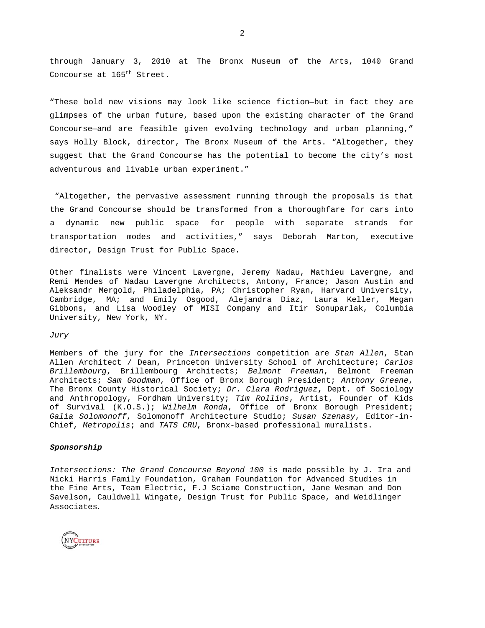through January 3, 2010 at The Bronx Museum of the Arts, 1040 Grand Concourse at 165<sup>th</sup> Street.

"These bold new visions may look like science fiction—but in fact they are glimpses of the urban future, based upon the existing character of the Grand Concourse—and are feasible given evolving technology and urban planning," says Holly Block, director, The Bronx Museum of the Arts. "Altogether, they suggest that the Grand Concourse has the potential to become the city's most adventurous and livable urban experiment."

 "Altogether, the pervasive assessment running through the proposals is that the Grand Concourse should be transformed from a thoroughfare for cars into a dynamic new public space for people with separate strands for transportation modes and activities," says Deborah Marton, executive director, Design Trust for Public Space.

Other finalists were Vincent Lavergne, Jeremy Nadau, Mathieu Lavergne, and Remi Mendes of Nadau Lavergne Architects, Antony, France; Jason Austin and Aleksandr Mergold, Philadelphia, PA; Christopher Ryan, Harvard University, Cambridge, MA; and Emily Osgood, Alejandra Diaz, Laura Keller, Megan Gibbons, and Lisa Woodley of MISI Company and Itir Sonuparlak, Columbia University, New York, NY.

### *Jury*

Members of the jury for the *Intersections* competition are *Stan Allen*, Stan Allen Architect / Dean, Princeton University School of Architecture; *Carlos Brillembourg*, Brillembourg Architects; *Belmont Freeman*, Belmont Freeman Architects; *Sam Goodman,* Office of Bronx Borough President; *Anthony Greene*, The Bronx County Historical Society; *Dr. Clara Rodriguez***,** Dept. of Sociology and Anthropology, Fordham University; *Tim Rollins*, Artist, Founder of Kids of Survival (K.O.S.); *Wilhelm Ronda*, Office of Bronx Borough President; *Galia Solomonoff*, Solomonoff Architecture Studio; *Susan Szenasy*, Editor-in-Chief, *Metropolis*; and *TATS CRU*, Bronx-based professional muralists.

#### *Sponsorship*

*Intersections: The Grand Concourse Beyond 100* is made possible by J. Ira and Nicki Harris Family Foundation, Graham Foundation for Advanced Studies in the Fine Arts, Team Electric, F.J Sciame Construction, Jane Wesman and Don Savelson, Cauldwell Wingate, Design Trust for Public Space, and Weidlinger Associates.